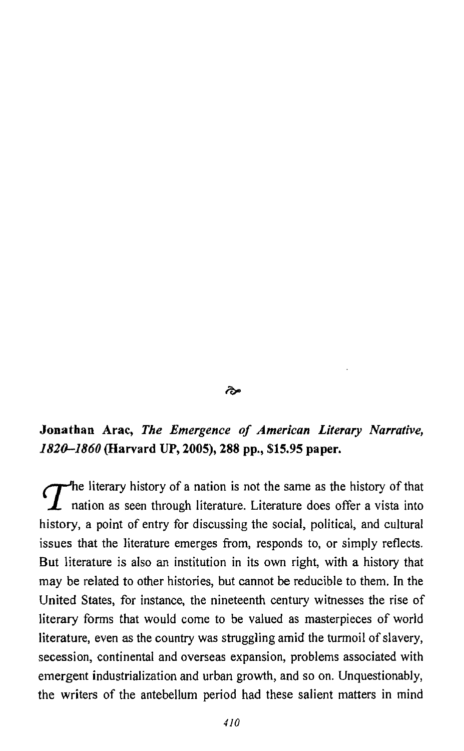## مخ

# **Jonathan** Arac, *The Emergence of American Literary Narrative, 182a-1860* (Harvard *UP,* **2005),** 288 **pp., \$15.95 paper.**

 $T$ <sup>he literary history of a nation is not the same as the history of that nation as seen through literature. Literature does offer a vista into</sup> history, a point of entry for discussing the social, political, and cultural issues that the literature emerges from, responds to, or simply reflects. But literature is also an institution in its own right, with a history that may be related to other histories, but cannot be reducible to them. In the United States, for instance, the nineteenth century witnesses the rise of literary forms that would come to be valued as masterpieces of world literature, even as the country was struggling amid the turmoil of slavery, secession, continental and overseas expansion, problems associated with emergent industrialization and urban growth, and so on. Unquestionably, the writers of the antebellum period had these salient matters in mind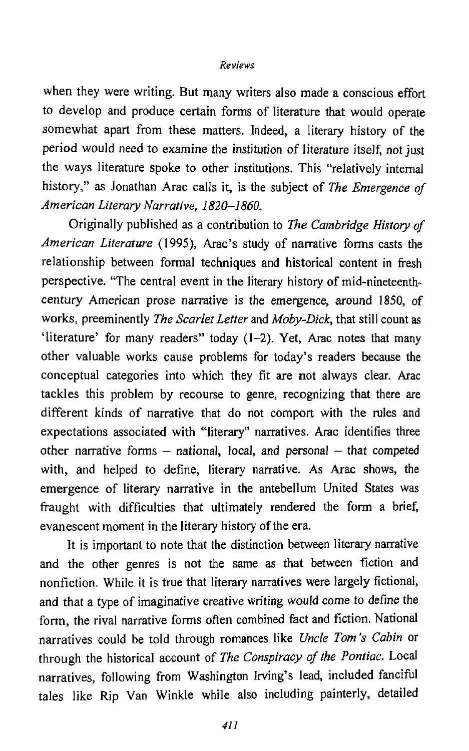### **Reviews**

when they were writing. But many writers also made a conscious effort to develop and produce certain forms of literature that would operate somewhat apart from these matters. Indeed, a literary history of the period would need to examine the institution of literature itself, not just the ways literature spoke to other institutions. This "relatively internal history," as Jonathan Arac calls it, is the subject of *The Emergence* **of**  *American Literary Narrative, 1820-1860.* 

Originally published as a contribution to **The** *Cambridge History* **of**  *American Literature* (1995), Arac's study of narrative forms casts the relationship between formal techniques and historical content in fresh perspective. "The central event in the literary history of mid-nineteenthcentury American prose narrative is the emergence, around 1850, of works, preeminently The *Scarlet Letter* and *Moby-Dick,* that still count as 'literature' for many readers" today (1-2). Yet, Arac notes that many other valuable works cause problems for today's readers because the conceptual categories into which they fit are not always clear. Arac tackles this problem by recourse to genre, recognizing that there are different kinds of narrative that do not comport with the rules and expectations associated with "literary" narratives. Arac identifies three other narrative forms  $-$  national, local, and personal  $-$  that competed with, and helped to define, literary narrative. As Arac shows, the emergence of literary narrative in the antebellum United States was fraught with difficulties that ultimately rendered the form a brief, evanescent moment in the literary history of the era.

It is important to note that the distinction between literary narrative and the other genres is not the same as that between fiction and nonfiction. While it is true that literary narratives were largely fictional, and that a type of imaginative creative writing would come to define the form, the rival narrative forms often combined fact and fiction. National narratives could be told through romances like *Uncle* **Tom's** *Cabin* or through the historical account of *The Conspiracy of the Pontiac*. Local narratives, following from Washington Irving's lead, included fanciful tales like Rip Van Winkle while also including painterly, detailed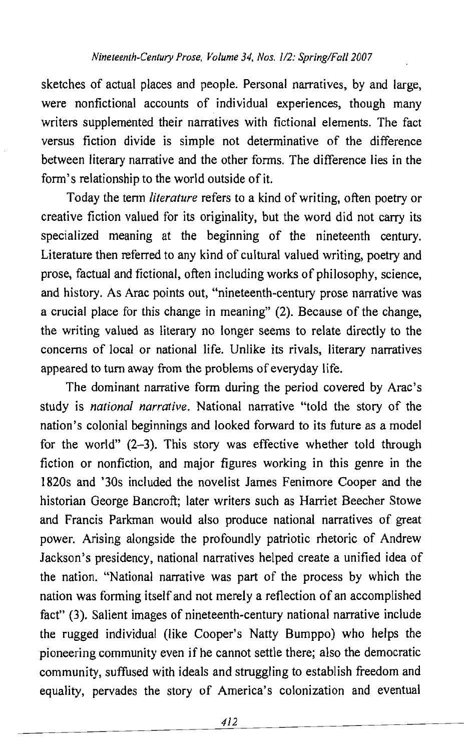sketches of actual places and people. Personal narratives, by and large, were nonfictional accounts of individual experiences, though many writers supplemented their narratives with fictional elements. The fact versus fiction divide is simple not determinative of the difference between literary narrative and the other forms. The difference lies in the form's relationship to the world outside of it.

Today the term *literature* refers to a kind of writing, often poetry or creative fiction valued for its originality, but the word did not carry its specialized meaning at the beginning of the nineteenth century. Literature then referred to any kind of cultural valued writing, poetry and prose, factual and fictional, often including works of philosophy, science, and history. As Arac points out, "nineteenth-century prose narrative was a crucial place for this change in meaning" (2). Because of the change, the writing valued as literary no longer seems to relate directly to the concerns of local or national life. Unlike its rivals, literary narratives appeared to turn away from the problems of everyday life.

The dominant narrative form during the period covered by Arac's study is *national narrative*. National narrative "told the story of the nation's colonial beginnings and looked forward to its future as a model for the world" (2-3). This story was effective whether told through fiction or nonfiction, and major figures working in this genre in the 1820s and '30s included the novelist James Fenimore Cooper and the historian George Bancroft; later writers such as Harriet Beecher Stowe and Francis Parkman would also produce national narratives of great power. Arising alongside the profoundly patriotic rhetoric of Andrew Jackson's presidency, national narratives helped create a unified idea of the nation. "National narrative was part of the process by which the nation was forming itself and not merely a reflection of an accomplished fact" **(3).** Salient images of nineteenth-century national narrative include the rugged individual (like Cooper's Natty Bumppo) who helps the pioneering community even if he cannot settle there; also the democratic community, suffused with ideals and struggling to establish freedom and equality, pervades the story of America's colonization and eventual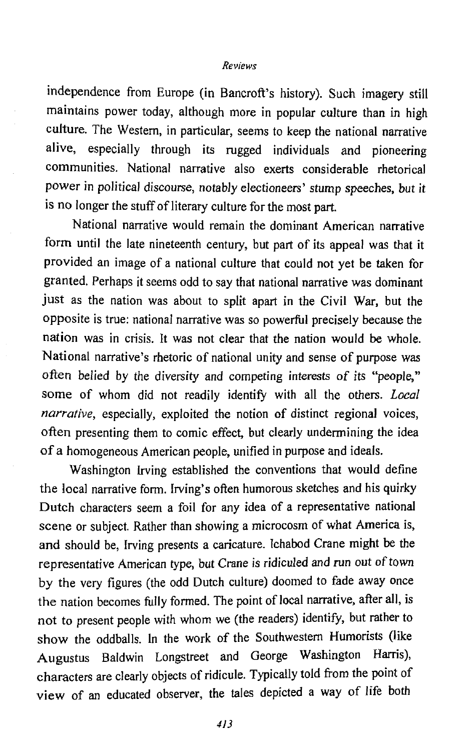#### Reviews

independence from Europe (in Bancroft's history). Such imagery still maintains power today, although more in popular culture than in high culture. The Western, in particular, seems to keep the national narrative alive, especially through its rugged individuals and pioneering communities. National narrative also exerts considerable rhetorical power in political discourse, notably electioneers' stump speeches, but it is no longer the stuff of literary culture for the most part.

National narrative would remain the dominant American narrative form until the late nineteenth century, but part of its appeal was that it provided an image of a national culture that could not yet be taken for granted. Perhaps it seems odd to say that national narrative was dominant just as the nation was about to split apart in the Civil War, but the opposite is true: national narrative was so powefil precisely because the nation was in crisis. It was not clear that the nation would be whole. National narrative's rhetoric of national unity and sense of purpose **was**  often belied by the diversity and competing interests of its "people," some of whom did not readily identify with all the others. *Local* narrative, especially, exploited the notion of distinct regional voices, often presenting them to comic effect, but clearly undermining the idea of a homogeneous American people, unified in purpose and ideals.

Washington Irving established the conventions that would define the local narrative form. Irving's often humorous sketches and his quirky Dutch characters seem a foil for any idea of a representative national scene or subject. Rather than showing a microcosm of what America is, **and** should be, Irving presents a caricature. lchabod Crane might **be** the representative American type, but Crane is ridiculed and run out of town by the very figures (the odd Dutch culture) doomed to fade away once the nation becomes fully formed. The point of local narrative, after all, is not to present people with whom we (the readers) identify, but rather to show the oddballs, In the work of the Southwestern Humorists (like Augustus Baldwin Longstreet and George Washington Harris), characters are clearly objects of ridicule. Typically told from the point of view of an educated observer, the tales depicted a way of life both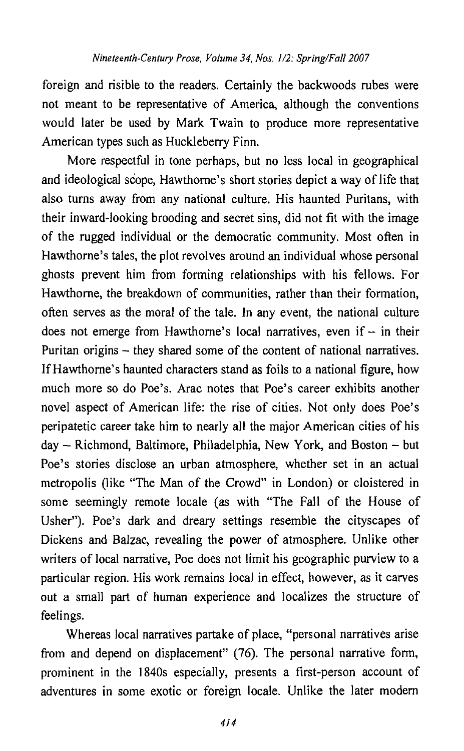foreign and risible to the readers. Certainly the backwoods rubes were not meant to be representative of America, although the conventions would later be used by Mark Twain to produce more representative American types such as Huckleberry Finn.

More respectful in tone perhaps, but no less local in geographical and ideological scope, Hawthorne's short stories depict a way of life that also turns away from any national culture. His haunted Puritans, with their inward-looking brooding and secret sins, did not fit with the image of the rugged individual or the democratic community. Most often in Hawthorne's tales, the plot revolves around an individual whose personal ghosts prevent him from forming relationships with his fellows. For Hawthorne, the breakdown of communities, rather than their formation, often serves as the moral of the tale. In any event, the national culture does not emerge from Hawthorne's local narratives, even if  $-$  in their Puritan origins – they shared some of the content of national narratives. If Hawthorne's haunted characters stand as foils to a national figure, how much more so do Poe's. Arac notes that Poe's career exhibits another novel aspect of American life: the rise of cities. Not only does Poe's peripatetic career take him to nearly all the major American cities of his day - Richmond, Baltimore, Philadelphia, New York, and Boston - but Poe's stories disclose an urban atmosphere, whether set in an actual metropolis (like "The Man of the Crowd" in London) or cloistered in some seemingly remote locale (as with "The Fall of the House of Usher"). Poe's dark and dreary settings resemble the cityscapes of Dickens and Balzac, revealing the power of atmosphere. Unlike other writers of local narrative, Poe does not limit his geographic purview to a particular region. His work remains local in effect, however, as it carves out **a** small part of human experience and localizes the structure of feelings.

Whereas local narratives partake of place, "personal narratives arise from and depend on displacement" (76). The personal narrative form, prominent in the 1840s especially, presents a first-person account of adventures in some exotic or foreign locale. Unlike the later modern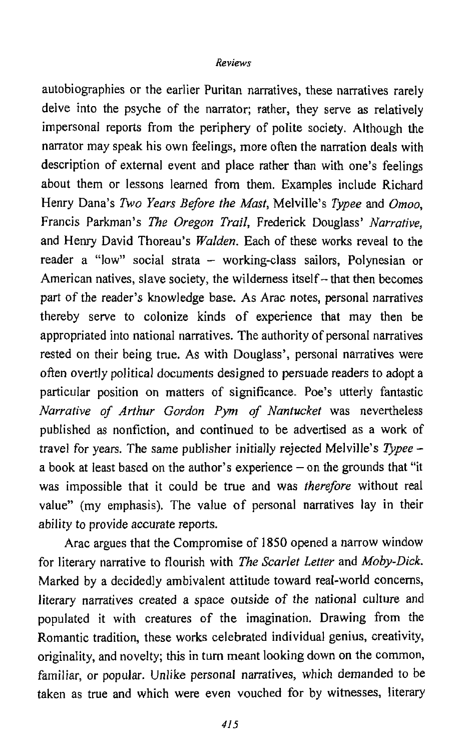## Reviews

autobiographies or the earlier Puritan narratives, these narratives rarely delve into the psyche of the narrator; rather, they serve as relatively impersonal reports from the periphery of polite society. Although the narrator may speak his own feelings, more often the narration deals with description of external event and place rather than with one's feelings about them or lessons learned from them. Examples include Richard Henry Dana's **Two** *Years Before the Mast,* Melville's *Typee* and *Omoo,*  Francis Parkman's *The Oregon Trail,* Frederick Douglass' *Narrative,*  and Henry David Thoreau's *WaIden.* Each of these works reveal to the reader a "low" social strata  $-$  working-class sailors. Polynesian or American natives, slave society, the wilderness itself – that then becomes part of the reader's knowledge base. **As** Arac notes, personal narratives thereby serve to colonize kinds of experience that may then be appropriated into national narratives. The authority of personal narratives rested on their being true. As with Douglass', personal narratives were often overtly political documents designed to persuade readers to adopt a particular position on matters of significance. Poe's utterly fantastic *Narrative of Arthur Gordon Pym of Nantucket* was nevertheless published as nonfiction, and continued to be advertised as a work of travel for years. The same publisher initially rejected Melville's *Typee*  a book at least based on the author's experience  $-$  on the grounds that "it was impossible that it could be true and was *therefore* without real value" (my emphasis). The value of personal narratives lay in their ability to provide accurate reports.

Arac argues that the Compromise of **1850** opened a narrow window for literary narrative to flourish with *The Scarlet Letter* and *Moby-Dick.*  Marked by a decidedly ambivalent attitude toward real-world concerns, literary narratives created a space outside of the national culture and populated it with creatures of the imagination. Drawing from the Romantic tradition, these works celebrated individual genius, creativity, originality, and novelty; this in turn meant looking down on the common, familiar, or popular. Unlike personal narratives, which demanded to be taken as true and which were even vouched for by witnesses, literary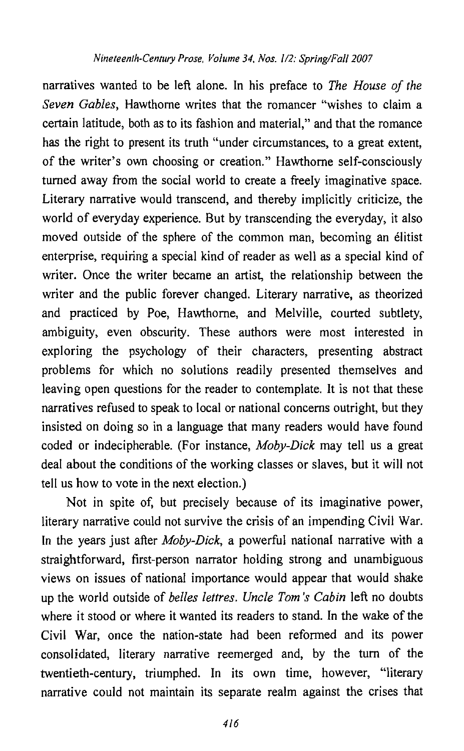## *Nineteenlh-Century Prose, Volume 34, Nos. 1/2: Spring/Fall 2007*

narratives wanted to be left alone. In his preface to The House of *the*  Seven Gables, Hawthorne writes that the romancer "wishes to claim a certain latitude, both as to its fashion and material," and that the romance has the right to present its truth "under circumstances, to a great extent, of the writer's own choosing or creation." Hawthorne self-consciously turned away from the social world to create a freeIy imaginative space. Literary narrative would transcend, and thereby implicitly criticize, the world of everyday experience. But by transcending the everyday, it also moved outside of the sphere of the common man, becoming an élitist enterprise, requiring a special kind of reader as well as a special kind of writer. Once the writer became an artist, the relationship between the writer and the public forever changed. Literary narrative, as theorized and practiced by Poe, Hawthorne, and Melville, courted subtlety, ambiguity, even obscurity. These authors were most interested in exploring the psychology of their characters, presenting abstract problems for which no solutions readily presented themselves and leaving open questions for the reader to contemplate. It is not that these narratives refused to speak to local or national concerns outright, but they insisted on doing so in a language that many readers would have found coded or indecipherable. (For instance, Moby-Dick may tell us a great deal about the conditions of the working classes or slaves, but it will not tell us how to vote in the next election.)

Not in spite of, but precisely because of its imaginative power, literary narrative could not survive the crisis of an impending Civil War. In the years just after Moby-Dick, a powerful national narrative with a straightforward, first-person narrator holding strong and unambiguous views on issues of national importance would appear that would shake up the world outside of belles lettres. Uncle Tom's Cabin left no doubts where it stood or where it wanted its readers to stand. In the wake of the Civil War, once the nation-state had been reformed and its power consolidated, literary narrative reemerged and, by the turn of the twentieth-century, triumphed. In its own time, however, "literary narrative could not maintain its separate realm against the crises that